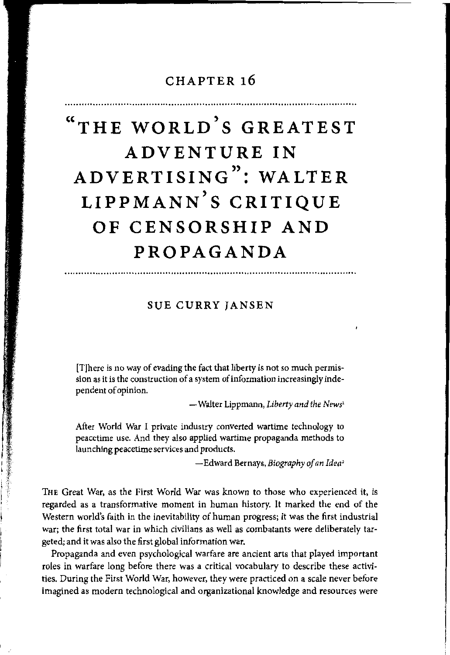#### **CHAPTER 16**

# **"THE WORLD'S GREATEST ADVENTURE IN ADVERTISING": WALTER LIPPMANN'S CRITIQUE OF CENSORSHIP AND PROPAGANDA**

#### SUE CURRY JANSEN

[T]here is no way of evading the fact that liberty is not so much permis**sion as it is the construction of a system of information increasingly inde**pendent of opinion.

-Walter Lippmann, *Liberty and the News'* 

After World War I private industry converted wartime technology to peacetime use. And they also applied wartime propaganda methods to launching peacetime services and products.

-Edward Bernays, *Biography of an Idea'* 

THE Great War, as the First World War was known to those who experienced it, is regarded as a transformative moment in human history. It marked the end of the Western world's faith in the inevitability of human progress; it was the first industrial war; the first total war in which civilians as well as combatants were deliberately targeted; and it was also the first global information war.

Propaganda and even psychological warfare are ancient arts that played important roles in warfare long before there was a critical vocabulary to describe these activities. During the First World War, however, they were practiced on a scale never before imagined as modern technological and organizational knowledge and resources were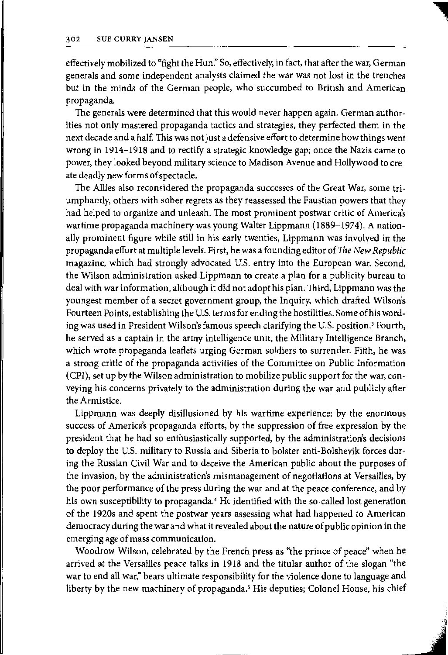effectively mobilized to "fight the Hun:' So, effectively, in fact, that after the war, German generals and some independent analysts claimed the war was not lost in the trenches but in the minds of the German people, who succumbed to British and American propaganda.

The generals were determined that this would never happen again. German authorities not only mastered propaganda tactics and strategies, they perfected them in the next decade and a half. This was not just a defensive effort to determine how things went wrong in 1914-1918 and to rectify a strategic knowledge gap; once the Nazis came to power, they looked beyond military science to Madison Avenue and Hollywood to create deadly new forms of spectacle.

The Allies also reconsidered the propaganda successes of the Great War, some triumphantly, others with sober regrets as they reassessed the Faustian powers that they had helped to organize and unleash. The most prominent postwar critic of America's wartime propaganda machinery was young Walter Lippmann (1889-1974). A nationally prominent figure while still in his early twenties, Lippmann was involved in the propaganda effort at multiple levels. First, he was a founding editor of *The New Republic* magazine, which had strongly advocated U.S. entry into the European war. Second, the Wilson administration asked Lippmann to create a plan for a publicity bureau to deal with war information, although it did not adopt his plan. Third, Lippmann was the youngest member of a secret government group, the Inquiry, which drafted Wilson's Fourteen Points, establishing the U.S. terms for ending the hostilities. Some of his wording was used in President Wilson's famous speech clarifying the U.S. position. 3 Fourth, he served as a captain in the army intelligence unit, the Military Intelligence Branch, which wrote propaganda leaflets urging German soldiers to surrender. Fifth, he was a strong critic of the propaganda activities of the Committee on Public Information (CPI), set up by the Wilson administration to mobilize public support for the war, conveying his concerns privately to the administration during the war and publicly after the Armistice.

Lippmann was deeply disillusioned by his wartime experience: by the enormous success of America's propaganda efforts, by the suppression of free expression by the president that he had so enthusiastically supported, by the administration's decisions to deploy the U.S. military to Russia and Siberia to bolster anti-Bolshevik forces during the Russian Civil War and to deceive the American public about the purposes of the invasion, by the administration's mismanagement of negotiations at Versailles, by the poor performance of the press during the war and at the peace conference, and by his own susceptibility to propaganda.<sup>4</sup> He identified with the so-called lost generation of the 1920s and spent the postwar years assessing what had happened to American democracy during the war and what it revealed about the nature of public opinion in the emerging age of mass communication.

Woodrow Wilson, celebrated by the French press as "the prince of peace" when he arrived at the Versailles peace talks in 1918 and the titular author of the slogan "the war to end all war," bears ultimate responsibility for the violence done to language and liberty by the new machinery of propaganda.' His deputies; Colonel House, his chief

> j *4*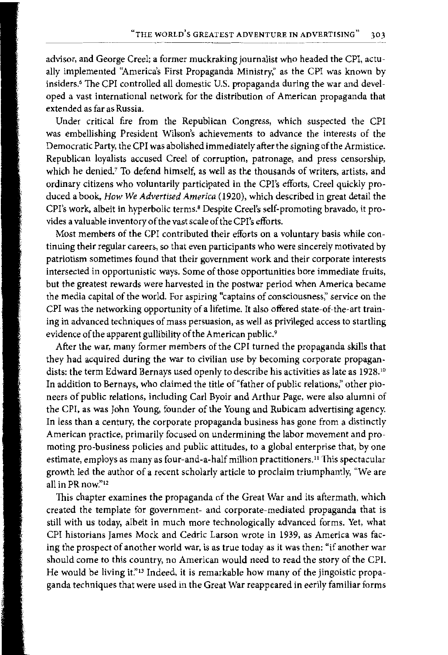advisor, and George Creel; a former muckraking journalist who headed the CPI, actually implemented "America's First Propaganda Ministry," as the CPI was known by insiders.' The CPI controlled all domestic U.S. propaganda during the war and developed a vast international network for the distribution of American propaganda that extended as far as Russia.

Under critical fire from the Republican Congress, which suspected the CPI was embellishing President Wilson's achievements to advance the interests of the Democratic Party, the CPI was abolished immediately after the signing of the Armistice. Republican loyalists accused Creel of corruption, patronage, and press censorship, which he denied.' To defend himself, as well as the thousands of writers, artists, and ordinary citizens who voluntarily participated in the CPI's efforts, Creel quickly produced a book, *How We Advertised America* (1920), which described in great detail the CPI's work, albeit in hyperbolic terms.' Despite Creel's self-promoting bravado, it provides a valuable inventory of the vast scale of the CPI's efforts.

Most members of the CPI contributed their efforts on a voluntary basis while continuing their regular careers, so that even participants who were sincerely motivated by patriotism sometimes found that their government work and their corporate interests intersected in opportunistic ways. Some of those opportunities bore immediate fruits, but the greatest rewards were harvested in the postwar period when America became the media capital of the world. For aspiring "captains of consciousness;' service on the CPI was the networking opportunity of a lifetime. It also offered state-of-the-art training in advanced techniques of mass persuasion, as well as privileged access to startling evidence of the apparent gullibility of the American public.<sup>9</sup>

After the war, many former members of the CPI turned the propaganda skills that they had acquired during the war to civilian use by becoming corporate propagandists: the term Edward Bernays used openly to describe his activities as late as 1928. <sup>10</sup> In addition to Bernays, who claimed the title of "father of public relations;' other pioneers of public relations, including Carl Byoir and Arthur Page, were also alumni of the CPI, as was John Young, founder of the Young and Rubicam advertising agency. In less than a century, the corporate propaganda business has gone from a distinctly American practice, primarily focused on undermining the labor movement and promoting pro-business policies and public attitudes, to a global enterprise that, by one estimate, employs as many as four-and-a-half million practitioners.'' This spectacular growth led the author of a recent scholarly article to proclaim triumphantly, "We are all in PR now."<sup>12</sup>

This chapter examines the propaganda of the Great War and its aftermath, which created the template for government- and corporate-mediated propaganda that is still with us today, albeit in much more technologically advanced forms. Yet, what CPI historians James Mock and Cedric Larson wrote in 1939, as America was facing the prospect of another world war, is as true today as it was then: "if another war should come to this country, no American would need to read the story of the CPI. He would be living it."<sup>13</sup> Indeed, it is remarkable how many of the jingoistic propaganda techniques that were used in the Great War reappeared in eerily familiar forms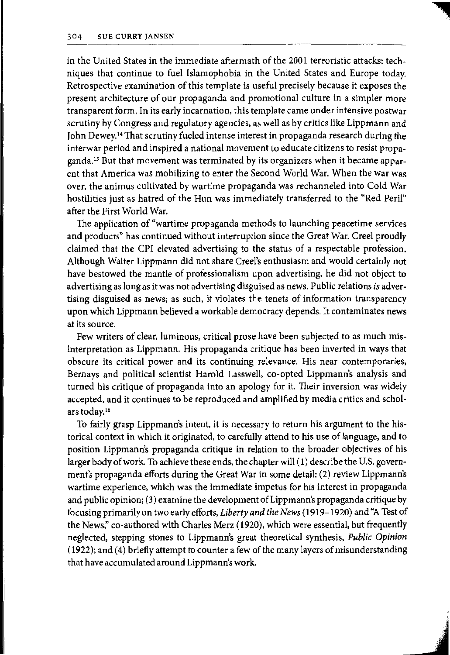in the United States in the immediate aftermath of the 2001 terroristic attacks: techniques that continue to fuel Jslamophobia in the United States and Europe today. Retrospective examination of this template is useful precisely because it exposes the present architecture of our propaganda and promotional culture in a simpler more transparent form. In its early incarnation, this template came under intensive postwar scrutiny by Congress and regulatory agencies, as well as by critics like Lippmann and John Dewey. 14 That scrutiny fueled intense interest in propaganda research during the interwar period and inspired a national movement to educate citizens to resist propaganda." But that movement was terminated by its organizers when it became apparent that America was mobilizing to enter the Second World War. When the war was over, the animus cultivated by wartime propaganda was rechanneled into Cold War hostilities just as hatred of the Hun was immediately transferred to the "Red Peril" after the First World War.

The application of "wartime propaganda methods to launching peacetime services and products" has continued without interruption since the Great War. Creel proudly claimed that the CPI elevated advertising to the status of a respectable profession. Although Walter Lippmann did not share Creel's enthusiasm and would certainly not have bestowed the mantle of professionalism upon advertising, he did not object to advertising as long as it was not advertising disguised as news. Public relations is advertising disguised as news; as such, it violates the tenets of information transparency upon which Lippmann believed a workable democracy depends. It contaminates news **at its source.** 

Few writers of clear, luminous, critical prose have been subjected to as much misinterpretation as Lippmann. His propaganda critique has been inverted in ways that obscure its critical power and its continuing relevance. His near contemporaries, Bernays and political scientist Harold Lasswell, co-opted Lippmann's analysis and turned his critique of propaganda into an apology for it. Their inversion was widely accepted, and it continues to be reproduced and amplified by media critics and scholars today. 16

To fairly grasp Lippmann's intent, it is necessary to return his argument to the historical context in which it originated, to carefully attend to his use of language, and to position Lippmann's propaganda critique in relation to the broader objectives of his larger body of work. To achieve these ends, the chapter will ( 1) describe the U.S. government's propaganda efforts during the Great War in some detail; (2) review Lippmann's wartime experience, which was the immediate impetus for his interest in propaganda and public opinion; (3) examine the development of Lippmann's propaganda critique by focusing primarily on two early efforts, *Liberty and the News* ( 1919-1920) and ''A Test of the News:' co-authored with Charles Merz ( 1920), which were essential, but frequently neglected, stepping stones to Lippmann's great theoretical synthesis, *Public Opinion*  (1922); and (4) briefly attempt to counter a few of the many layers of misunderstanding that have accumulated around Lippmann's work.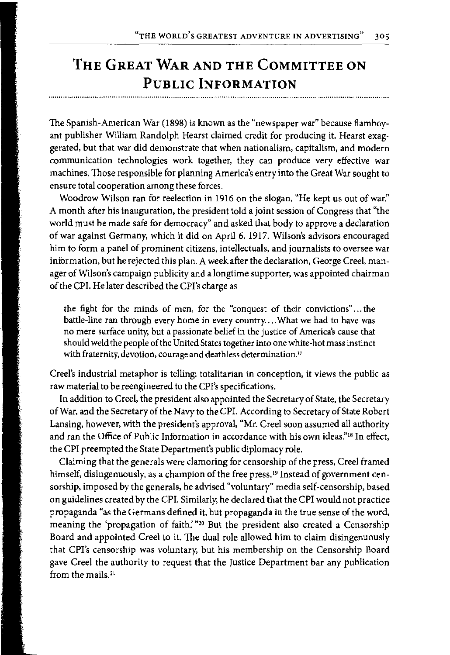### **THE GREAT WAR AND THE COMMITTEE ON PUBLIC INFORMATION**

The Spanish-American War (1898) is known as the "newspaper war" because flamboyant publisher William Randolph Hearst claimed credit for producing it. Hearst exaggerated, but that war did demonstrate that when nationalism, capitalism, and modern communication technologies work together, they can produce very effective war machines. Those responsible for planning America's entry into the Great War sought to ensure total cooperation among these forces.

Woodrow Wilson ran for reelection in 1916 on the slogan, "He kept us out of war." A month after his inauguration, the president told a joint session of Congress that "the world must be made safe for democracy" and asked that body to approve a declaration of war against Germany, which it did on April 6, 1917. Wilson's advisors encouraged him to form a panel of prominent citizens, intellectuals, and journalists to oversee war information, but he rejected this plan. A week after the declaration, George Creel, manager of Wilson's campaign publicity and a longtime supporter, was appointed chairman of the CPI. He later described the CPI's charge as

the fight for the minds of men, for the "conquest of their convictions" ... the battle-line ran through every home in every country....What we had to have was **no mere surface unity, but a passionate belief in the justice of America's cause that**  should weld the people of the United States together into one white-hot mass instinct **with fraternity, devotion, courage and deathless determination.17** 

Creel's industrial metaphor is telling: totalitarian in conception, it views the public as raw material to be reengineered to the CPI's specifications.

In addition to Creel, the president also appointed the Secretary of State, the Secretary of War, and the Secretary of the Navy to the CPI. According to Secretary of State Robert Lansing, however, with the president's approval, "Mr. Creel soon assumed all authority and ran the Office of Public Information in accordance with his own ideas."<sup>18</sup> In effect, the CPI preempted the State Department's public diplomacy role.

Claiming that the generals were clamoring for censorship of the press, Creel framed himself, disingenuously, as a champion of the free press.<sup>19</sup> Instead of government censorship, imposed by the generals, he advised "voluntary" media self-censorship, based on guidelines created by the CPI. Similarly, he declared that the CPI would not practice propaganda "as the Germans defined it, but propaganda in the true sense of the word, meaning the 'propagation of faith.'"<sup>20</sup> But the president also created a Censorship Board and appointed Creel to it. The dual role allowed him to claim disingenuously that CPI's censorship was voluntary, but his membership on the Censorship Board gave Creel the authority to request that the justice Department bar any publication from the mails.<sup>21</sup>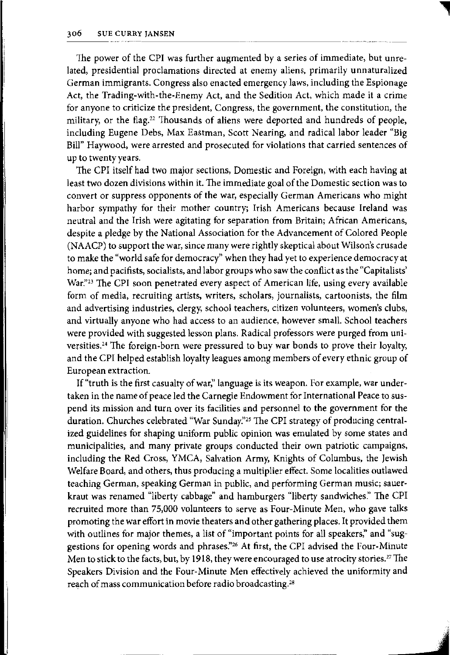The power of the CPI was further augmented by a series of immediate, but unrelated, presidential proclamations directed at enemy aliens, primarily unnaturalized German immigrants. Congress also enacted emergency laws, including the Espionage Act, the Trading-with-the-Enemy Act, and the Sedition Act, which made it a crime for anyone to criticize the president, Congress, the government, the constitution, the military, or the flag.<sup>22</sup> Thousands of aliens were deported and hundreds of people, including Eugene Debs, Max Eastman, Scott Nearing, and radical labor leader "Big Bill" Haywood, were arrested and prosecuted for violations that carried sentences of up to twenty years.

The CPI itself had two major sections, Domestic and Foreign, with each having at least two dozen divisions within it. The immediate goal of the Domestic section was to convert or suppress opponents of the war, especially German Americans who might harbor sympathy for their mother country; Irish Americans because Ireland was neutral and the Irish were agitating for separation from Britain; African Americans, despite a pledge by the National Association for the Advancement of Colored People (NAACP) to support the war, since many were rightly skeptical about Wilson's crusade to make the "world safe for democracy" when they had yet to experience democracy at home; and pacifists, socialists, and labor groups who saw the conflict as the "Capitalists' War."<sup>23</sup> The CPI soon penetrated every aspect of American life, using every available form of media, recruiting artists, writers, scholars, journalists, cartoonists, the film and advertising industries, clergy, school teachers, citizen volunteers, women's clubs, and virtually anyone who had access to an audience, however small. School teachers were provided with suggested lesson plans. Radical professors were purged from universities.<sup>24</sup> The foreign-born were pressured to buy war bonds to prove their loyalty, and the CPI helped establish loyalty leagues among members of every ethnic group of European extraction.

If "truth is the first casualty of war;' language is its weapon. For example, war undertaken in the name of peace led the Carnegie Endowment for International Peace to suspend its mission and turn over its facilities and personnel to the government for the duration. Churches celebrated "War Sunday."<sup>25</sup> The CPI strategy of producing centralized guidelines for shaping uniform public opinion was emulated by some states and municipalities, and many private groups conducted their own patriotic campaigns, including the Red Cross, YMCA, Salvation Army, Knights of Columbus, the Jewish Welfare Board, and others, thus producing a multiplier effect. Some localities outlawed teaching German, speaking German in public, and performing German music; sauerkraut was renamed "liberty cabbage" and hamburgers "liberty sandwiches:' The CPI recruited more than 75,000 volunteers to serve as Four-Minute Men, who gave talks promoting the war effort in movie theaters and other gathering places. It provided them with outlines for major themes, a list of "important points for all speakers," and "suggestions for opening words and phrases."26 At first, the CPI advised the Four-Minute Men to stick to the facts, but, by 1918, they were encouraged to use atrocity stories.<sup>27</sup> The Speakers Division and the Four-Minute Men effectively achieved the uniformity and reach of mass communication before radio broadcasting.28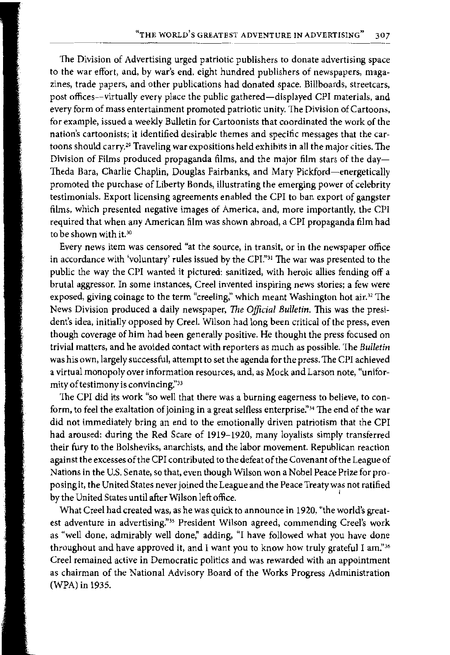The Division of Advertising urged patriotic publishers to donate advertising space to the war effort, and, by war's end, eight hundred publishers of newspapers, magazines, trade papers, and other publications had donated space. Billboards, streetcars, post offices-virtually every place the public gathered-displayed CPI materials, and every form of mass entertainment promoted patriotic unity. The Division of Cartoons, for example, issued a weekly Bulletin for Cartoonists that coordinated the work of the nation's cartoonists; it identified desirable themes and specific messages that the cartoons should carry. 29 Traveling war expositions held exhibits in all the major cities. The Division of Films produced propaganda films, and the major film stars of the day-Theda Bara, Charlie Chaplin, Douglas Fairbanks, and Mary Pickford-energetically promoted the purchase of Liberty Bonds, illustrating the emerging power of celebrity testimonials. Export licensing agreements enabled the CPI to ban export of gangster films, which presented negative images of America, and, more importantly, the CPI required that when any American film was shown abroad, a CPI propaganda film had to be shown with it.<sup>30</sup>

Every news item was censored "at the source, in transit, or in the newspaper office in accordance with 'voluntary' rules issued by the CPI."31 The war was presented to the public the way the CPI wanted it pictured: sanitized, with heroic allies fending off a brutal aggressor. In some instances, Creel invented inspiring news stories; a few were exposed, giving coinage to the term "creeling," which meant Washington hot air.<sup>32</sup> The News Division produced a daily newspaper, *The Official Bulletin.* This was the president's idea, initially opposed by Creel. Wilson had long been critical of the press, even though coverage of him had been generally positive. He thought the press focused on trivial matters, and he avoided contact with reporters as much as possible. The *Bulletin*  was his own, largely successful, attempt to set the agenda for the press. The CPI achieved a virtual monopoly over information resources, and, as Mock and Larson note, "uniformity of testimony is convincing."33

The CPI did its work "so well that there was a burning eagerness to believe, to conform, to feel the exaltation of joining in a great selfless enterprise."34 The end of the war did not immediately bring an end to the emotionally driven patriotism that the CPI had aroused: during the Red Scare of 1919-1920, many loyalists simply transferred their fury to the Bolsheviks, anarchists, and the labor movement. Republican reaction against the excesses of the CPI contributed to the defeat of the Covenant of the League of Nations in the U.S. Senate, so that, even though Wilson won a Nobel Peace Prize for proposing it, the United States never joined the League and the Peace Treaty was not ratified by the United States until after Wilson left office. <sup>1</sup>

What Creel had created was, as he was quick to announce in 1920, "the world's greatest adventure in advertising."35 President Wilson agreed, commending Creel's work as "well done, admirably well done," adding, "I have followed what you have done throughout and have approved it, and I want you to know how truly grateful I am."36 Creel remained active in Democratic politics and was rewarded with an appointment as chairman of the National Advisory Board of the Works Progress Administration (WPA) in 1935.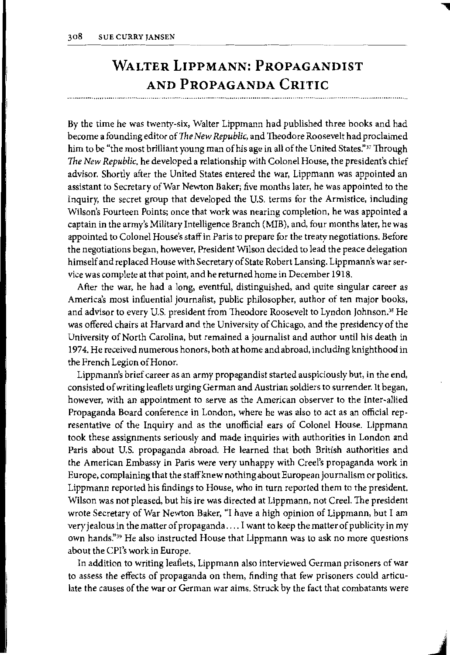## **WALTER LIPPMANN: PROPAGANDIST AND PROPAGANDA CRITIC**

By the time he was twenty-six, Walter Lippmann had published three books and had become a founding editor of The *New Republic,* and Theodore Roosevelt had proclaimed him to be "the most brilliant young man of his age in all of the United States."<sup>37</sup> Through The *New Republic,* he developed a relationship with Colonel House, the president's chief advisor. Shortly after the United States entered the war, Lippmann was appointed an assistant to Secretary of War Newton Baker; five months later, he was appointed to the Inquiry, the secret group that developed the U.S. terms for the Armistice, including Wilson's Fourteen Points; once that work was nearing completion, he was appointed a captain in the army's Military Intelligence Branch (MIB), and, four months later, he was appointed to Colonel House's staff in Paris to prepare for the treaty negotiations. Before the negotiations began, however, President Wilson decided to lead the peace delegation himself and replaced House with Secretary of State Robert Lansing. Lippmann's war service was complete at that point, and he returned home in December 1918.

After the war, he had a long, eventful, distinguished, and quite singular career as America's most influential journalist, public philosopher, author of ten major books, and advisor to every U.S. president from Theodore Roosevelt to Lyndon Johnson.38 He was offered chairs at Harvard and the University of Chicago, and the presidency of the University of North Carolina, but remained a journalist and author until his death in 1974. He received numerous honors, both at home and abroad, including knighthood in the French Legion of Honor.

Lippmann's brief career as an army propagandist started auspiciously but, in the end, consisted of writing leaflets urging German and Austrian soldiers to surrender. It began, however, with an appointment to serve as the American observer to the Inter-allied Propaganda Board conference in London, where he was also to act as an official representative of the Inquiry and as the unofficial ears of Colonel House. Lippmann took these assignments seriously and made inquiries with authorities in London and Paris about U.S. propaganda abroad. He learned that both British authorities and the American Embassy in Paris were very unhappy with Creel's propaganda work in Europe, complaining that the staff knew nothing about European journalism or politics. Lippmann reported his findings to House, who in turn reported them to the president Wilson was not pleased, but his ire was directed at Lippmann, not Creel. The president wrote Secretary of War Newton Baker, "I have a high opinion of Lippmann, but I am very jealous in the matter of propaganda .... I want to keep the matter of publicity in my own hands."39 He also instructed House that Lippmann was to ask no more questions about the CPI's work in Europe.

In addition to writing leaflets, Lippmann also interviewed German prisoners of war to assess the effects of propaganda on them, finding that few prisoners could articulate the causes of the war or German war aims. Struck by the fact that combatants were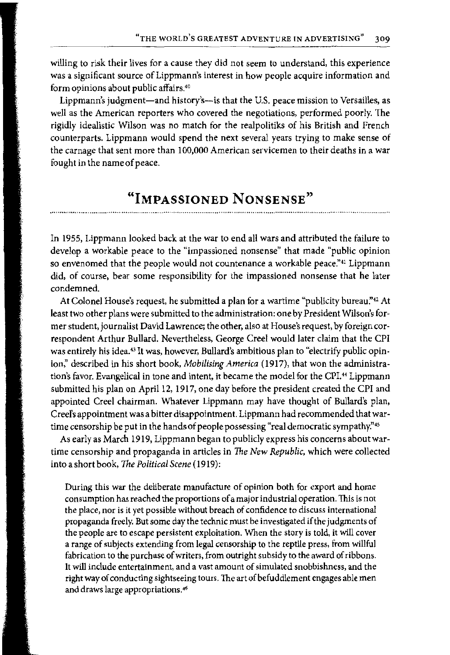willing to risk their lives for a cause they did not seem to understand, this experience was a significant source of Lippmann's interest in how people acquire information and form opinions about public affairs.40

Lippmann's judgment-and history's-is that the U.S. peace mission to Versailles, as well as the American reporters who covered the negotiations, performed poorly. The rigidly idealistic Wilson was no match for the realpolitiks of his British and French counterparts. Lippmann would spend the next several years trying to make sense of the carnage that sent more than I 00,000 American servicemen to their deaths in a war fought in the name of peace.

### **"IMPASSIONED NONSENSE"**

In 1955, Lippmann looked back at the war to end all wars and attributed the failure to develop a workable peace to the "impassioned nonsense" that made "public opinion so envenomed that the people would not countenance a workable peace."<sup>41</sup> Lippmann did, of course, bear some responsibility for the impassioned nonsense that he later condemned.

At Colonel House's request, he submitted a plan for a wartime "publicity bureau."<sup>42</sup> At least two other plans were submitted to the administration: one by President Wilson's former student, journalist David Lawrence; the other, also at House's request, by foreign correspondent Arthur Bullard. Nevertheless, George Creel would later claim that the CPI was entirely his idea.<sup>43</sup> It was, however, Bullard's ambitious plan to "electrify public opin*ion:'* described in his short book, *Mobilising America* (1917), that won the administration's favor. Evangelical in tone and intent, it became the model for the CPl.44 Lippmann submitted his plan on April 12, 1917, one day before the president created the CPI and appointed Creel chairman. Whatever Lippmann may have thought of Bullard's plan, Creel's appointment was a bitter disappointment. Lippmann had recommended that wartime censorship be put in the hands of people possessing "real democratic sympathy."<sup>45</sup>

As early as March 1919, Lippmann began to publicly express his concerns about wartime censorship and propaganda in articles in The *New Republic,* which were collected into a short book, The *Political Scene* (1919):

During this war the deliberate manufacture of opinion both for export and home consumption has reached the proportions of a major industrial operation. This is not the place, nor is it yet possible without breach of confidence to discuss international propaganda freely. But some day the technic must be investigated if the judgments of the people are to escape persistent exploitation. When the story is told, it will cover a range of subjects extending from legal censorship to the reptile press, from willful fabrication to the purchase of writers, from outright subsidy to the award of ribbons. It will include entertainment, and a vast amount of simulated snobbishness, and the right way of conducting sightseeing tours. The art of befuddlement engages able men and draws large appropriations.<sup>46</sup>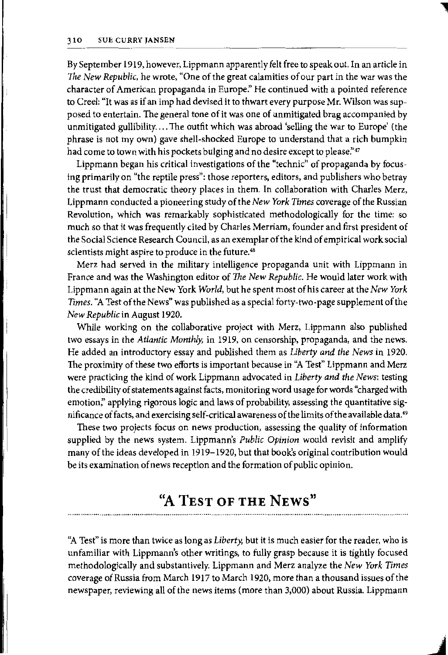By September 1919, however, Lippmann apparently felt free to speak out. In an article in *The New Republic,* he wrote, "One of the great calamities of our part in the war was the character of American propaganda in Europe." He continued with a pointed reference to Creel: "It was as if an imp had devised it to thwart every purpose Mr. Wilson was supposed to entertain. The general tone of it was one of unmitigated brag accompanied by unmitigated gullibility .... The outfit which was abroad 'selling the war to Europe' (the phrase is not my own) gave shell-shocked Europe to understand that a rich bumpkin had come to town with his pockets bulging and no desire except to please."47

Lippmann began his critical investigations of the "technic" of propaganda by focusing primarily on "the reptile press": those reporters, editors, and publishers who betray the trust that democratic theory places in them. In collaboration with Charles Merz, Lippmann conducted a pioneering study of the *New York Times* coverage of the Russian Revolution, which was remarkably sophisticated methodologically for the time: so much so that it was frequently cited by Charles Merriam, founder and first president of the Social Science Research Council, as an exemplar of the kind of empirical work social scientists might aspire to produce in the future.<sup>48</sup>

Merz had served in the military intelligence propaganda unit with Lippmann in France and was the Washington editor of *The New Republic.* He would later work with Lippmann again at the New York *World,* but he spent most of his career at the *New York Times.* "A Test of the News" was published as a special forty-two-page supplement of the *New Republic* in August 1920.

While working on the collaborative project with Merz, Lippmann also published two essays in the *Atlantic Monthly,* in 1919, on censorship, propaganda, and the news. He added an introductory essay and published them as *Liberty and the News* in 1920. The proximity of these two efforts is important because in "A Test" Lippmann and Merz were practicing the kind of work Lippmann advocated in *Liberty and the News:* testing the credibility of statements against facts, monitoring word usage for words "charged with emotion," applying rigorous logic and laws of probability, assessing the quantitative significance of facts, and exercising self-critical awareness of the limits of the available data. 49

These two projects focus on news production, assessing the quality of information supplied by the news system. Lippmann's *Public Opinion* would revisit and amplify many of the ideas developed in 1919-1920, but that book's original contribution would be its examination of news reception and the formation of public opinion.

### **"A TEST OF THE NEWS"**

"A Test" is more than twice as long as *Liberty*, but it is much easier for the reader, who is unfamiliar with Lippmann's other writings, to fully grasp because it is tightly focused methodologically and substantively. Lippmann and Merz analyze the *New York Times*  coverage of Russia from March 1917 to March 1920, more than a thousand issues of the newspaper, reviewing all of the news items (more than 3,000) about Russia. Lippmann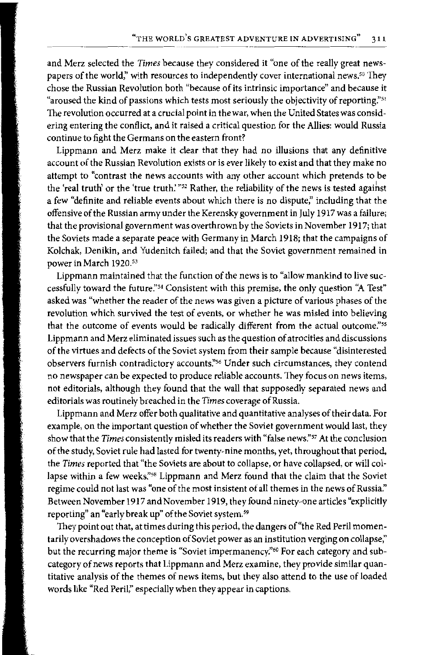and Merz selected the *Times* because they considered it "one of the really great newspapers of the world," with resources to independently cover international news.<sup>50</sup> They chose the Russian Revolution both "because of its intrinsic importance'' and because it "aroused the kind of passions which tests most seriously the objectivity of reporting."<sup>51</sup> The revolution occurred at a crucial point in the war, when the United States was considering entering the conflict, and it raised a critical question for the Allies: would Russia continue to fight the Germans on the eastern front?

Lippmann and Merz make it clear that they had no illusions that any definitive account of the Russian Revolution exists or is ever likely to exist and that they make no attempt to "contrast the news accounts with any other account which pretends to be the 'real truth' or the 'true *truth: "52* Rather, the reliability of the news is tested agaihst a few "definite and reliable events about which there is no dispute;' including that the offensive of the Russian army under the Kerensky government in July 1917 was a failure; that the provisional government was overthrown by the Soviets in November 1917; that the Soviets made a separate peace with Germany in March 1918; that the campaigns of Kolchak, Denikin, and Yudenitch failed; and that the Soviet government remained in power in March 1920.53

Lippmann maintained that the function of the news is to "allow mankind to live successfully toward the future."<sup>54</sup> Consistent with this premise, the only question "A Test" asked was "whether the reader of the news was given a picture of various phases of the revolution which survived the test of events, or whether he was misled into believing that the outcome of events would be radically different from the actual outcome."<sup>55</sup> Lippmann and Merz eliminated issues such as the question of atrocities and discussions of the virtues and defects of the Soviet system from their sample because "disinterested observers furnish contradictory accounts."<sup>56</sup> Under such circumstances, they contend no newspaper can be expected to produce reliable accounts. They focus on news items, not editorials, although they found that the wall that supposedly separated news and editorials was routinely breached in the *Times* coverage of Russia.

Lippmann and Merz offer both qualitative and quantitative analyses of their data. For example, on the important question of whether the Soviet government would last, they show that the *Times* consistently misled its readers with "false news."<sup>57</sup> At the conclusion of the study, Soviet rule had lasted for twenty-nine months, yet, throughout that period, the *Times* reported that "the Soviets are about to collapse, or have collapsed, or will collapse within a few weeks."<sup>58</sup> Lippmann and Merz found that the claim that the Soviet regime could not last was "one of the most insistent of all themes in the news of Russia." Between November 1917 and November 1919, they found ninety-one articles "explicitly reporting" an "early break up" of the Soviet system. <sup>59</sup>

They point out that, at times during this period, the dangers of"the Red Peril momentarily overshadows the conception of Soviet power as an institution verging on collapse," but the recurring major theme is "Soviet impermanency."<sup>60</sup> For each category and subcategory of news reports that Lippmann and Merz examine, they provide similar quantitative analysis of the themes of news items, but they also attend to the use of loaded words like "Red Peril;' especially when they appear in captions.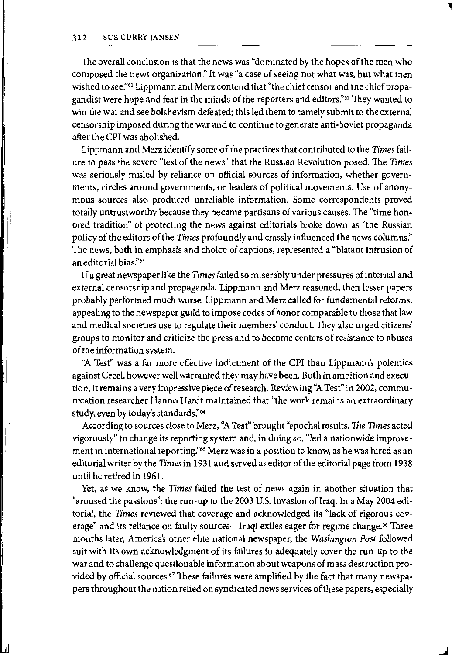IJ,

The overall conclusion is that the news was "dominated by the hopes of the men who composed the news organization:' It was "a case of seeing not what was, but what men wished to see."<sup>61</sup> Lippmann and Merz contend that "the chief censor and the chief propagandist were hope and fear in the minds of the reporters and editors."<sup>62</sup> They wanted to win the war and see bolshevism defeated; this led them to tamely submit to the external censorship imposed during the war and to continue to generate anti-Soviet propaganda after the CPI was abolished

Lippmann and Merz identify some of the practices that contributed to the *Times* failure to pass the severe "test of the news" that the Russian Revolution posed. The *Times*  was seriously misled by reliance on official sources of information, whether governments, circles around governments, or leaders of political movements. Use of anonymous sources also produced unreliable information. Some correspondents proved totally untrustworthy because they became partisans of various causes. The "time honored tradition" of protecting the news against editorials broke down as "the Russian policy of the editors of the *Times* profoundly and crassly influenced the news columns:' The news, both in emphasis and choice of captions, represented a "blatant intrusion of an editorial bias."63

If a great newspaper like the *Times* failed so miserably under pressures of internal and external censorship and propaganda, Lippmann and Merz reasoned, then lesser papers probably performed much worse. Lippmann and Merz called for fundamental reforms, appealing to the newspaper guild to impose codes of honor comparable to those that law and medical societies use to regulate their members' conduct. They also urged citizens' groups to monitor and criticize the press and to become centers of resistance to abuses of the information system.

"A Test" was a far more effective indictment of the CPI than Lippmann's polemics against Creel, however well warranted they may have been. Both in ambition and execution, it remains a very impressive piece of research. Reviewing "A Test" in 2002, communication researcher Hanno Hardt maintained that "the work remains an extraordinary study, even by today's standards."<sup>64</sup>

According to sources close to Merz, "A Test" brought "epochal results. *The Times* acted vigorously" to change its reporting system and, in doing so, "led a nationwide improvement in international reporting."65 Merz was in a position to know, as he was hired as an editorial writer by the *Times* in 1931 and served as editor of the editorial page from 1938 until he retired in 1961.

Yet, as we know, the *Times* failed the test of news again in another situation that "aroused the passions": the run-up to the 2003 U.S. invasion of Iraq. In a May 2004 editorial, the *Times* reviewed that coverage and acknowledged its "lack of rigorous coverage" and its reliance on faulty sources—Iraqi exiles eager for regime change.<sup>66</sup> Three months later, Americas other elite national newspaper, the *Washington Post* followed suit with its own acknowledgment of its failures to adequately cover the run-up to the war and to challenge questionable information about weapons of mass destruction provided by official sources.<sup>67</sup> These failures were amplified by the fact that many newspapers throughout the nation relied on syndicated news services of these papers, especially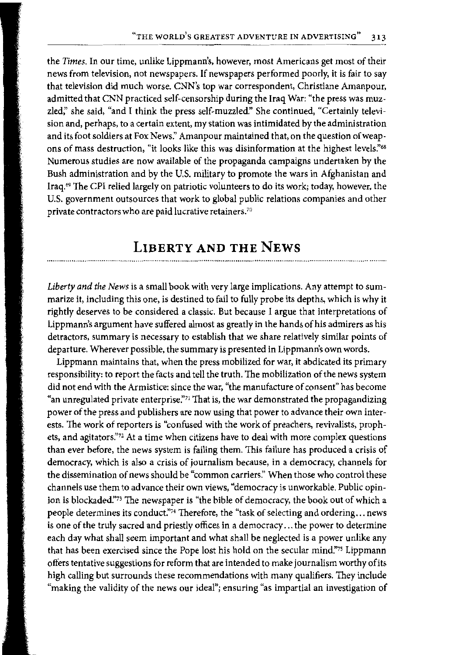the *Times.* In our time, unlike Lippmann's, however, most Americans get most of their news from television, not newspapers. If newspapers performed poorly, it is fair to say that television did much worse. CNN's top war correspondent, Christiane Amanpour, admitted that CNN practiced self-censorship during the Iraq War: "the press was muzzled," she said, "and I think the press self-muzzled." She continued, "Certainly television and, perhaps, to a certain extent, my station was intimidated by the administration and its foot soldiers at Fox *News:'* Amanpour maintained that, on the question of weapons of mass destruction, "it looks like this was disinformation at the highest levels."<sup>68</sup> Numerous studies are now available of the propaganda campaigns undertaken by the Bush administration and by the U.S. military to promote the wars in Afghanistan and lraq.69 The CPI relied largely on patriotic volunteers to do its work; today, however, the U.S. government outsources that work to global public relations companies and other **private contractors who are paid lucrative retainers.70** 

#### **LIBERTY AND THE NEWS**

*Liberty and the News* is a small book with very large implications. Any attempt to summarize it, including this one, is destined to fail to fully probe its depths, which is why it rightly deserves to be considered a classic. But because I argue that interpretations of Lippmann's argument have suffered almost as greatly in the hands of his admirers as his detractors, summary is necessary to establish that we share relatively similar points of departure. Wherever possible, the summary is presented in Lippmann's own words.

Lippmann maintains that, when the press mobilized for war, it abdicated its primary responsibility: to report the facts and tell the truth. The mobilization of the news system did not end with the Armistice: since the war, "the manufacture of consent" has become "an unregulated private enterprise."<sup>71</sup> That is, the war demonstrated the propagandizing power of the press and publishers are now using that power to advance their own interests. The work of reporters is "confused with the work of preachers, revivalists, prophets, and agitators."72 At a time when citizens have to deal with more complex questions than ever before, the news system is failing them. This failure has produced a crisis of democracy, which is also a crisis of journalism because, in a democracy, channels for the dissemination of news should be "common carriers." When those who control these channels use them to advance their own views, "democracy is unworkable. Public opinion is blockaded."73 The newspaper is "the bible of democracy, the book out of which a people determines its conduct."<sup>74</sup> Therefore, the "task of selecting and ordering ... news is one of the truly sacred and priestly offices in a democracy ... the power to determine each day what shall seem important and what shall be neglected is a power unlike any that has been exercised since the Pope lost his hold on the secular mind."75 Lippmann offers tentative suggestions for reform that are intended to make journalism worthy of its high calling but surrounds these recommendations with many qualifiers. They include "making the validity of the news our ideal"; ensuring "as impartial an investigation of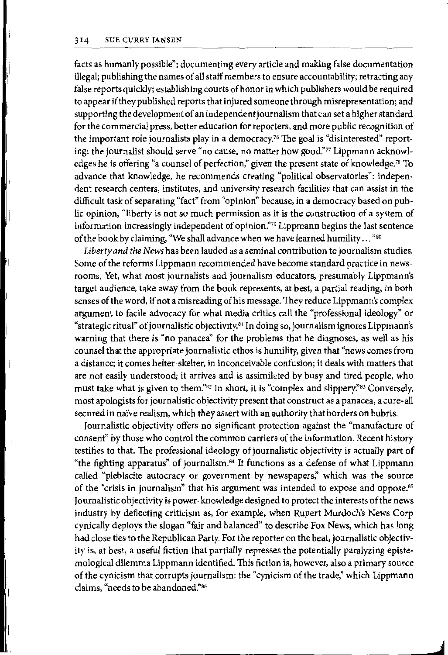:  $\mathbf{i}$ 

II

facts as humanly possible"; documenting every article and making false documentation illegal; publishing the names of all staff members to ensure accountability; retracting any false reports quickly; establishing courts of honor in which publishers would be required to appear if they published reports that injured someone through misrepresentation; and supporting the development of an independent journalism that can set a higher standard for the commercial press, better education for reporters, and more public recognition of the important role journalists play in a democracy.76 The goal is "disinterested" reporting: the journalist should serve "no cause, no matter how good."77 Lippmann acknowledges he is offering "a counsel of perfection," given the present state of knowledge.<sup>78</sup> To advance that knowledge, he recommends creating "political observatories": independent research centers, institutes, and university research facilities that can assist in the difficult task of separating "fact" from "opinion" because, in a democracy based on public opinion, "liberty is not so much permission as it is the construction of a system of information increasingly independent of opinion:'79 Lippmann begins the last sentence of the book by claiming, "We shall advance when we have learned humility ... "80

*Liberty and the News* has been lauded as a seminal contribution to journalism studies. Some of the reforms Lippmann recommended have become standard practice in newsrooms. Yet, what most journalists and journalism educators, presumably Lippmann's target audience, take away from the book represents, at best, a partial reading, in both senses of the word, if not a misreading of his message. They reduce Lippmann's complex argument to facile advocacy for what media critics call the "professional ideology" or "strategic ritual" of journalistic objectivity.81 In doing so, journalism ignores Lippmann's warning that there is "no panacea" for the problems that he diagnoses, as well as his counsel that the appropriate journalistic ethos is humility, given that "news comes from a distance; it comes helter-skelter, in inconceivable confusion; it deals with matters that are not easily understood; it arrives and is assimilated by busy and tired people, who must take what is given to them."<sup>82</sup> In short, it is "complex and slippery."<sup>83</sup> Conversely, most apologists for journalistic objectivity present that construct as a panacea, a cure-all secured in naive realism, which they assert with an authority that borders on hubris.

Journalistic objectivity offers no significant protection against the "manufacture of consent" by those who control the common carriers of the information. Recent history testifies to that. The professional ideology of journalistic objectivity is actually part of "the fighting apparatus" of journalism.<sup>84</sup> It functions as a defense of what Lippmann called "plebiscite autocracy or government by newspapers," which was the source of the "crisis in journalism" that his argument was intended to expose and oppose.85 Journalistic objectivity is power-knowledge designed to protect the interests of the news industry by deflecting criticism as, for example, when Rupert Murdoch's News Corp cynically deploys the slogan "fair and balanced" to describe Fox News, which has long had close ties to the Republican Party. For the reporter on the beat, journalistic objectivity is, at best, a useful fiction that partially represses the potentially paralyzing epistemological dilemma Lippmann identified. This fiction is, however, also a primary source of the cynicism that corrupts journalism: the "cynicism of the trade," which Lippmann claims, "needs to be abandoned."<sup>86</sup>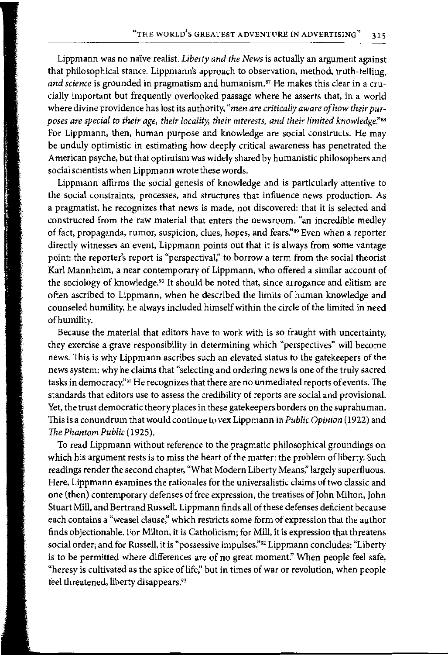Lippmann was no naive realist. *Liberty and the News* is actually an argument against that philosophical stance. Lippmann's approach to observation, method, truth-telling, and science is grounded in pragmatism and humanism.<sup>87</sup> He makes this clear in a crucially important but frequently overlooked passage where he asserts that, in a world where divine providence has lost its authority, *"men are critically aware of how their pur*poses are special to their age, their locality, their interests, and their limited knowledge."<sup>88</sup> For Lippmann, then, human purpose and knowledge are social constructs. He may be unduly optimistic in estimating how deeply critical awareness has penetrated the American psyche, but that optimism was widely shared by humanistic philosophers and social scientists when Lippmann wrote these words.

Lippmann affirms the social genesis of knowledge and is particularly attentive to the social constraints, processes, and structures that influence news production. As a pragmatist, he recognizes that news is made, not discovered: that it is selected and constructed from the raw material that enters the newsroom, "an incredible medley of fact, propaganda, rumor, suspicion, clues, hopes, and fears."89 Even when a reporter directly witnesses an event, Lippmann points out that it is always from some vantage point: the reporter's report is "perspectival," to borrow a term from the social theorist Karl Mannheim, a near contemporary of Lippmann, who offered a similar account of the sociology of knowledge.90 It should be noted that, since arrogance and elitism are often ascribed to Lippmann, when he described the limits of human knowledge and counseled humility, he always included himself within the circle of the limited in need of humility.

Because the material that editors have to work with is so fraught with uncertainty, they exercise a grave responsibility in determining which "perspectives" will become news. This is why Lippmann ascribes such an elevated status to the gatekeepers of the news system: why he claims that "selecting and ordering news is one of the truly sacred tasks in democracy."<sup>91</sup> He recognizes that there are no unmediated reports of events. The standards that editors use to assess the credibility of reports are social and provisional. Yet, the trust democratic theory places in these gatekeepers borders on the suprahuman. This is a conundrum that would continue to vex Lippmann in *Public Opinion* ( 1922) and *The Phantom Public* (1925).

To read Lippmann without reference to the pragmatic philosophical groundings on which his argument rests is to miss the heart of the matter: the problem of liberty. Such readings render the second chapter, "What Modern Liberty Means;' largely superfluous. Here, Lippmann examines the rationales for the universalistic claims of two classic and one (then) contemporary defenses of free expression, the treatises of John Milton, John Stuart Mill, and Bertrand Russell. Lippmann finds all of these defenses deficient because each contains a "weasel clause;' which restricts some form of expression that the author finds objectionable. For Milton, it is Catholicism; for Mill, it is expression that threatens social order; and for Russell, it is "possessive impulses."<sup>92</sup> Lippmann concludes: "Liberty is to be permitted where differences are of no great moment." When people feel safe, "heresy is cultivated as the spice of life," but in times of war or revolution, when people feel threatened, liberty disappears.<sup>93</sup>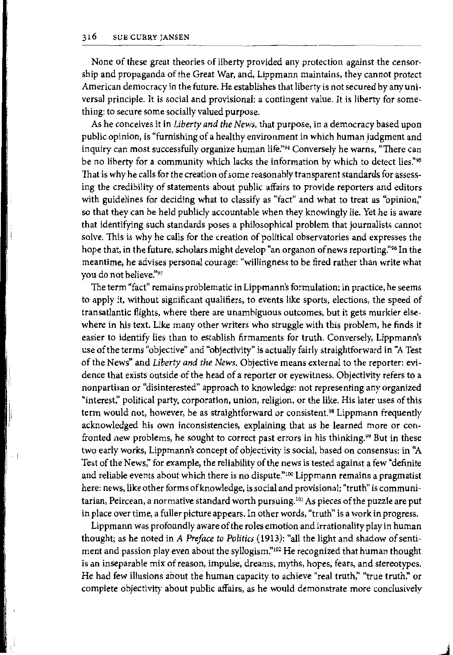None of these great theories of liberty provided any protection against the censorship and propaganda of the Great War, and, Lippmann maintains, they cannot protect American democracy in the future. He establishes that liberty is not secured by any universal principle. It is social and provisional: a contingent value. It is liberty for something: to secure some socially valued purpose.

As he conceives it in *Liberty and the News,* that purpose, in a democracy based upon public opinion, is "furnishing of a healthy environment in which human judgment and inquiry can most successfully organize human life."<sup>94</sup> Conversely he warns, "There can be no liberty for a community which lacks the information by which to detect lies."95 That is why he calls for the creation of some reasonably transparent standards for assessing the credibility of statements about public affairs to provide reporters and editors with guidelines for deciding what to classify as "fact" and what to treat as "opinion," so that they can be held publicly accountable when they knowingly lie. Yet he is aware that identifying such standards poses a philosophical problem that journalists cannot solve. This is why he calls for the creation of political observatories and expresses the hope that, in the future, scholars might develop "an organon of news reporting."<sup>96</sup> In the meantime, he advises personal courage: "willingness to be fired rather than write what you do not believe."97

The term "fact" remains problematic in Lippmann's formulation; in practice, he seems to apply it, without significant qualifiers, to events like sports, elections, the speed of transatlantic flights, where there are unambiguous outcomes, but it gets murkier elsewhere in his text. Like many other writers who struggle with this problem, he finds it easier to identify lies than to establish firmaments for truth. Conversely, Lippmann's use of the terms "objective" and "objectivity" is actually fairly straightforward in ''A Test of the News" and *Liberty and the News.* Objective means external to the reporter: evidence that exists outside of the head of a reporter or eyewitness. Objectivity refers to a nonpartisan or "disinterested" approach to knowledge: not representing any organized "interest," political party, corporation, union, religion, or the like. His later uses of this term would not, however, be as straightforward or consistent.<sup>98</sup> Lippmann frequently acknowledged his own inconsistencies, explaining that as he learned more or confronted new problems, he sought to correct past errors in his thinking." But in these two early works, Lippmann's concept of objectivity is social, based on consensus: in ''A Test of the News," for example, the reliability of the news is tested against a few "definite and reliable events about which there is no dispute."<sup>100</sup> Lippmann remains a pragmatist here: news, like other forms of knowledge, is social and provisional; "truth'' is communitarian, Peircean, a normative standard worth pursuing. 101 As pieces of the puzzle are put in place over time, a fuller picture appears. In other words, "truth" is a work in progress.

Lippmann was profoundly aware of the roles emotion and irrationality play in human thought; as he noted in *A Preface to Politics* (1913): "all the light and shadow of sentiment and passion play even about the syllogism." 102 He recognized that human thought is an inseparable mix of reason, impulse, dreams, myths, hopes, fears, and stereotypes. He had few illusions about the human capacity to achieve "real truth," "true truth," or complete objectivity about public affairs, as he would demonstrate more conclusively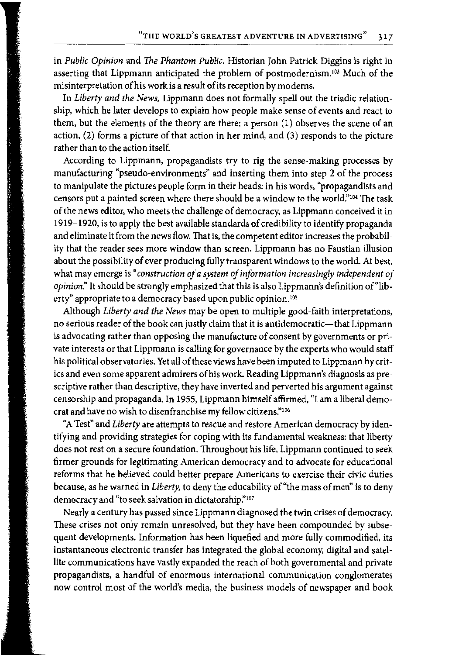in *Public Opinion* and *The Phantom Public.* Historian John Patrick Diggins is right in asserting that Lippmann anticipated the problem of postmodernism. 103 Much of the misinterpretation of his work is a result of its reception by moderns.

In *Liberty and the News,* Lippmann does not formally spell out the triadic relationship, which he later develops to explain how people make sense of events and react to them, but the elements of the theory are there: a person (1) observes the scene of an action, (2) forms a picture of that action in her mind, and (3) responds to the picture rather than to the action itself.

According to Lippmann, propagandists try to rig the sense-making processes by manufacturing "pseudo-environments" and inserting them into step 2 of the process to manipulate the pictures people form in their heads: in his words, "propagandists and censors put a painted screen where there should be a window to the world."104 The task of the news editor, who meets the challenge of democracy, as Lippmann conceived it in 1919-1920, is to apply the best available standards of credibility to identify propaganda and eliminate it from the news flow. That is, the competent editor increases the probability that the reader sees more window than screen. Lippmann has no Faustian illusion about the possibility of ever producing fully transparent windows to the world. At best, what may emerge is" *construction of a system of information increasingly independent of opinion:'* It should be strongly emphasized that this is also Lippmann's definition of "liberty" appropriate to a democracy based upon public opinion. <sup>105</sup>

Although *Liberty and the News* may be open to multiple good-faith interpretations, no serious reader of the book can justly claim that it is antidemocratic-that Lippmann is advocating rather than opposing the manufacture of consent by governments or private interests or that Lippmann is calling for governance by the experts who would staff his political observatories. Yet all of these views have been imputed to Lippmann by critics and even some apparent admirers of his work. Reading Lippmann's diagnosis as prescriptive rather than descriptive, they have inverted and perverted his argument against censorship and propaganda. In 1955, Lippmann himself affirmed, "I am a liberal democrat and have no wish to disenfranchise my fellow citizens."106

"A Test" and *Liberty* are attempts to rescue and restore American democracy by identifying and providing strategies for coping with its fundamental weakness: that liberty does not rest on a secure foundation. Throughout his life, Lippmann continued to seek firmer grounds for legitimating American democracy and to advocate for educational reforms that he believed could better prepare Americans to exercise their civic duties because, as he warned in *Liberty,* to deny the educability of"the mass of men" is to deny democracy and "to seek salvation in dictatorship."<sup>107</sup>

Nearly a century has passed since Lippmann diagnosed the twin crises of democracy. These crises not only remain unresolved, but they have been compounded by subsequent developments. Information has been liquefied and more fully commodified, its instantaneous electronic transfer has integrated the global economy, digital and satellite communications have vastly expanded the reach of both governmental and private propagandists, a handful of enormous international communication conglomerates now control most of the world's media, the business models of newspaper and book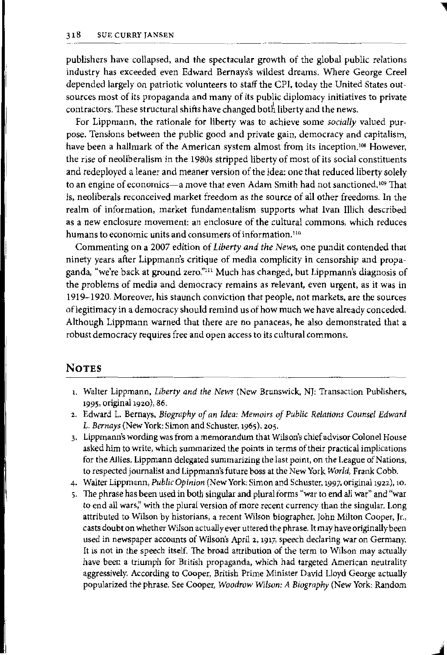publishers have collapsed, and the spectacular growth of the global public relations industry has exceeded even Edward Bernays's wildest dreams. Where George Creel depended largely on patriotic volunteers to staff the CPI, today the United States outsources most of its propaganda and many of its public diplomacy initiatives to private contractors. These structural shifts have changed both liberty and the news.

For Lippmann, the rationale for liberty was to achieve some *socially* valued purpose. Tensions between the public good and private gain, democracy and capitalism, have been a hallmark of the American system almost from its inception.<sup>108</sup> However, the rise of neoliberalism in the 1980s stripped liberty of most of its social constituents and redeployed a leaner and meaner version of the idea: one that reduced liberty solely to an engine of economics—a move that even Adam Smith had not sanctioned.<sup>109</sup> That is, neoliberals reconceived market freedom as the source of all other freedoms. In the realm of information, market fundamentalism supports what Ivan Illich described as a new enclosure movement: an enclosure of the cultural commons, which reduces **humans to economic units and consumers ofinformation. <sup>110</sup>**

Commenting on a 2007 edition of *Liberty and the News,* one pundit contended that ninety years after Lippmann's critique of media complicity in censorship and propaganda, "we're back at ground zero."<sup>111</sup> Much has changed, but Lippmann's diagnosis of the problems of media and democracy remains as relevant, even urgent, as it was in 1919-1920. Moreover, his staunch conviction that people, not markets, are the sources oflegitimacy in a democracy should remind us of how much we have already conceded. Although Lippmann warned that there are no panaceas, he also demonstrated that a robust democracy requires free and open access to its cultural commons.

#### **NOTES**

- 1. Walter Lippmann, *Liberty and the News* (New Brunswick, NJ: Transaction Publishers, 1995, original 1920), 86.
- 2. Edward L. Bernays, *Biography of an Idea: Memoirs of Public Relations Counsel Edward*  L. *Bernays* (New York: Simon and Schuster, 1965), 205.
- 3. Lippmann's wording was from a memorandum that Wilson's chief advisor Colonel House **asked him to write, which summarized the points in terms of their practical implications**  for the Allies. Lippmann delegated summarizing the last point, on the League of Nations, to respected journalist and Lippmann's future boss at the New York *World,* Frank Cobb.
- 4. Walter Lippmann, *Public Opinion* (New York: Simon and Schuster, 1997, original 1922), 10.
- 5. The phrase has been used in both singular and plural forms "war to end all war" and "war to end all wars;' with the plural version of more recent currency than the singular. Long attributed to Wilson by historians, a recent Wilson biographer, John Milton Cooper, Jr., casts doubt on whether Wilson actually ever uttered the phrase. It may have originally been **used in newspaper accounts of Wilson's April 2, i917, speech declaring war on Germany.**  It is not in the speech itself. The broad attribution of the term to Wilson may actually have been a triumph for British propaganda, which had targeted American neutrality aggressively. According to Cooper, British Prime Minister David Lloyd George actually popularized the phrase. See Cooper, *Woodrow Wilson: A Biography* (New York: Random

**'**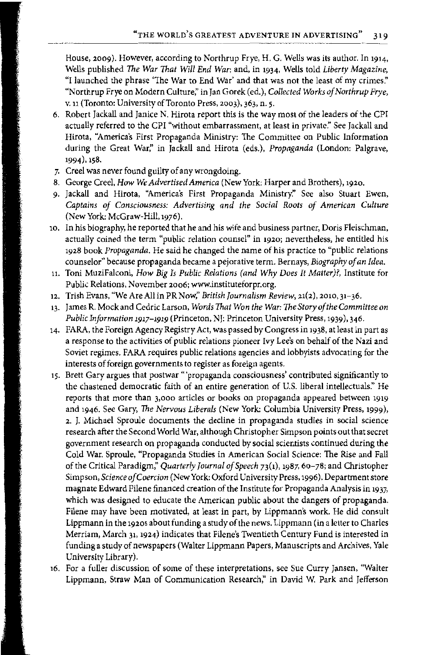House, 2009). However, according to Northrup Frye, H. G. Wells was its author. In 1914, Wells published *The War That Will End War;* and, in 1934, Wells told *Liberty Magazine,*  "! launched the phrase 'The War to End War' and that was not the least of my crimes:' "Northrup Frye on Modern Culture;' in Jan Gorek (ed.), *Collected Works of Northrup Frye,*  v. 11 (Toronto: University of Toronto Press, 2003), 363, n. 5.

- 6. Robert Jackall and Janice N. Hirota report this is the way most of the leaders of the CPI actually referred to the CPI "without embarrassment, at least in private." See Jackall and **Hirota, "America's First Propaganda Ministry: The Committee on Public Information**  during the Great War;' in Jackall and Hirota (eds.), *Propaganda* (London: Palgrave, 1994), 158.
- 7. Creel was never found guilty of any wrongdoing.
- 8. George Creel, *How We Advertised America* (New York: Harper and Brothers), 1920.
- 9. Jackall and Hirota, "America's First Propaganda Ministry." See also Stuart Ewen, *Captains of Consciousness: Advertising and the Social Roots of American Culture*  (New York: McGraw-Hill, 1976).
- 10. In his biography, he reported that he and his wife and business partner, Doris Fleischman, **actually coined the term "public relation counsel" in 1920; nevertheless, he entitled his**  1928 book *Propaganda.* He said he changed the name of his practice to "public relations counselor" because propaganda became a pejorative term. Bernays, *Biography of an Idea.*
- 11. Toni Mu2iFalconi, *How Big ls Public Relations (and Why Does It Matter)?,* Institute for Public Relations, November 2006; www.instituteforpr.org.
- 12. Trish Evans, "We Are All in PR Now;' *British Journalism Review,* 21(2), 2010, 31-36.
- 13. James R. Mock and Cedric Larson, *Words That Won the War: The Story of the Committee on Public Information* 1917-1919 (Princeton, NJ: Princeton University Press, 1939), 346.
- 14. FARA, the Foreign Agency Registry Act, was passed by Congress in 1938, at least in part as a response to the activities of public relations pioneer Ivy Lee's on behalf of the Nazi and Soviet regimes. FARA requires public relations agencies and lobbyists advocating for the **interests of foreign governments to register as foreign agents.**
- 15. Brett Gary argues that postwar "'propaganda consciousness' contributed significantly to the chastened democratic faith of an entire generation of U.S. liberal intellectuals:' He reports that more than 3,000 articles or books on propaganda appeared between 1919 and 1946. See Gary, *The Nervous Liberals* (New York: Columbia University Press, 1999), 2. J. Michael Sproule documents the decline in propaganda studies in social science research after the Second World War, although Christopher Simpson points out that secret government research on propaganda conducted by social scientists continued during the Cold War. Sproule, "Propaganda Studies in American Social Science: The Rise and Fall of the Critical Paradigm," *Quarterly Journal of Speech* 73(1), 1987, 60-78; and Christopher Simpson, *Science of Coercion* (New York: Oxford University Press, 1996). Department store magnate Edward Filene financed creation of the Institute for Propaganda Analysis in 1937, which was designed to educate the American public about the dangers of propaganda. Filene may have been motivated, at least in part, by Lippmann's work. He did consult Lippmann in the 1920s about funding a study of the news. Lippmann (in a letter to Charles **Merriam, March 31, 1924) indicates that Filene's Twentieth Century Fund is interested in**  funding a study of newspapers (Walter Lippmann Papers, Manuscripts and Archives, Yale University Library).
- **16. For a fuller discussion of some of these interpretations, see Sue Curry Jansen, "Walter**  Lippmann, Straw Man of Communication Research," in David W. Park and Jefferson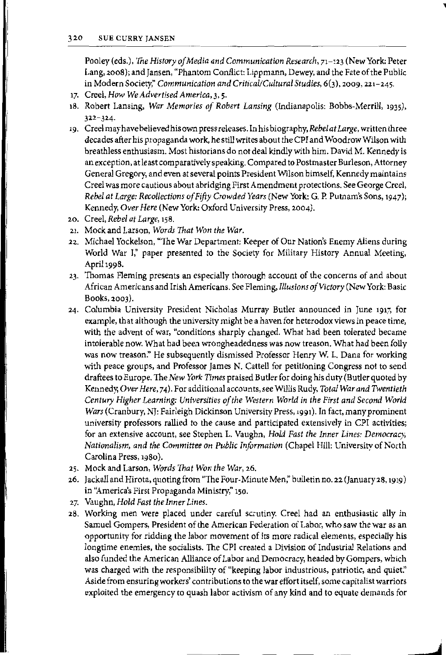Pooley (eds.), *The History of Media and Communication Research*,  $71-123$  (New York: Peter Lang, 2008); and Jansen, "Phantom Conflict: Lippmann, Dewey, and the Fate of the Public in Modern Society;' *Communication and Critical/Cultural Studies,* 6(3), 2009, 221-245.

- 17. Creel, *How We Advertised America,* 3, 5.
- 18. Robert Lansing, *War Memories of Robert Lansing* (Indianapolis: Bobbs-Merrill, 1935), 322-324.
- 19. Creel may have believed his own press releases. In his biography, *Rebel at Large,* written three decades after his propaganda work, he still writes about the CPI and Woodrow Wilson with breathless enthusiasm. Most historians do not deal kindly with him. David M. Kennedy is an exception, at least comparatively speaking. Compared to Postmaster Burleson, Attorney General Gregory, and even at several points President Wilson himself, Kennedy maintains Creel was more cautious about abridging First Amendment protections. See George Creel, *Rebel at Large: Recollections of Fifty Crowded Years* (New York: G. P. Putnam's Sons, 1947): Kennedy, *Over Here* (New York: Oxford University Press, 2004).
- 20. Creel, *Rebel at Large,* 158.
- 2i. Mock and Larson, *Words That Won the War.*
- 22. Michael Yockelson, "The War Department: Keeper of Our Nation's Enemy Aliens during World War 1;' paper presented to the Society for Military History Annual Meeting, April 1998.
- 23. Thomas Fleming presents an especially thorough account of the concerns of and about African Americans and Irish Americans. See Fleming, *Illusions of Victory* (New York: Basic Books, 2003).
- 24. Columbia University President Nicholas Murray Butler announced in June 1917, for example, that although the university might be a haven for heterodox views in peace time, with the advent of war, "conditions sharply changed. What had been tolerated became intolerable now. What had been wrongheadedness was now treason. What had been folly was now treason:' He subsequently dismissed Professor Henry W. L. Dana for working with peace groups, and Professor James N. Cattell for petitioning Congress not to send draftees to Europe. The *New York Times* praised Butler for doing his duty (Butler quoted by Kennedy, *Over Here,* 74). For additional accounts, see Willis Rudy, *Total War and Twentieth Century Higher Learning: Universities of the Western World in the First and Second World Wars* (Cranbury, *NJ:* Fairleigh Dickinson University Press, 1991). In fact, many prominent university professors rallied to the cause and participated extensively in CPI activities; for an extensive account, see Stephen L. Vaughn, *Hold Fast the Inner Lines: Democracy, Nationalism, and the Committee on Public Information* (Chapel Hill: University of North Carolina Press, 1980).
- 25. Mock and Larson, *Words That Won the War,* 26.
- 26. Jackal! and Hirota, quoting from "The Four-Minute Men," bulletin no. 22 (January28, 1919) in "America's First Propaganda Ministry," 150.
- 27. Vaughn, *Hold Fast the Inner Lines.*
- 28. Working men were placed under careful scrutiny. Creel had an enthusiastic ally in Samuel Gompers, President of the American Federation of Labor, who saw the war as an opportunity for ridding the labor movement of *its* more radical elements, especially his longtime enemies, the socialists. The CPI created a Division of Industrial Relations and also funded the American Alliance of Labor and Democracy, headed by Gompers, which was charged with the responsibility of "keeping labor industrious, patriotic, and quiet." **Aside from ensuring workers' contributions to the war effort itself, some capitalist warriors**  exploited the emergency to quash labor activism of any kind and to equate demands for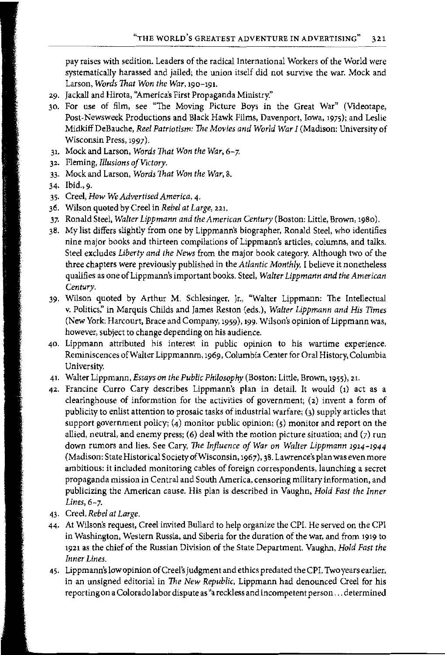pay raises with sedition. Leaders of the radical International Workers of the World were systematically harassed and jailed; the union itself did not survive the war. Mock and Larson, *Words That Won the War,* 190-191.

- 29. Jackall and Hirota, "America's First Propaganda Ministry."
- 30. For use of film, see "The Moving Picture Boys in the Great War" (Videotape, Post-Newsweek Productions and Black Hawk Films, Davenport, Iowa, 1975); and Leslie MidkiffDeBauche, *Reel Patriotism: The Movies and World War I* (Madison: University of Wisconsin Press, 1997).
- 3i. Mock and Larson, *Words That Won the War,* 6-7.
- 32. Fleming, *Illusions of Victory.*
- 33. Mock and Larson, *Words That Won the War,* 8.
- 34. Ibid., 9.
- 35. Creel, *How We Advertised America,* 4.
- 36. Wilson quoted by Creel in *Rebel at Large,* 22i.
- 37. Ronald Steel, *Walter Lippmann and the American Century* (Boston: Little, Brown, 1980).
- 38. My list differs slightly from one by Lippmann's biographer, Ronald Steel, who identifies nine major books and thirteen compilations of Lippmann's articles, columns, and talks. Steel excludes *Liberty and the News* from the major book category. Although two of the three chapters were previously published in the *Atlantic Monthly,* I believe it nonetheless qualifies as one of Lippmann's important books. Steel, *Walter Lippmann and the American Century.*
- 39. Wilson quoted by Arthur M. Schlesinger, Jr., "Walter Lippmann: The Intellectual v. Politics;' in Marquis Childs and James Reston (eds.), *Walter Lippmann and His Times*  (New York: Harcourt, Brace and Company, 1959), 199. Wilson's opinion of Lippmann was, however, subject to change depending on his audience.
- **40. Lippmann attributed his interest in public opinion to his wartime experience.**  Reminiscences of Walter Lippmannm, 1969, Columbia Center for Oral History, Columbia University.
- 41. Walter Lippmann, *Essays on the Public Philosophy* (Boston: Little, Brown, 1955), 2i.
- 42. Francine Curro Cary describes Lippmann's plan in detail. It would (1) act as a **clearinghouse of information for the activities of government; (2) invent a form of**  publicity to enlist attention to prosaic tasks of industrial warfare; (3) supply articles that support government policy; (4) monitor public opinion; (5) monitor and report on the allied, neutral, and enemy press;  $(6)$  deal with the motion picture situation; and  $(7)$  run down rumors and lies. See Cary, *The Influence of War on Walter Lippmann 2914-1944*  (Madison: State Historical Society of Wisconsin, 1967), 38. Lawrence's plan was even more **ambitious: it included monitoring cables of foreign correspondents, launching a secret propaganda mission in Central and South America, censoring military information, and**  publicizing the American cause. His plan is described in Vaughn, *Hold Fast the Inner Lines,* 6-7.
- 43. Creel, *Rebel at Large.*
- 44. At Wilson's request, Creel invited Bullard to help organize the CPI. He served on the CPI in Washington, Western Russia, and Siberia for the duration of the war, and from 1919 to 1921 as the chief of the Russian Division of the State Department. Vaughn, *Hold Fast the Inner Lines.*
- 45. Lippmann's low opinion of Creel's judgment and ethics predated the CPI. Two years earlier, in an unsigned editorial in *The New Republic,* Lippmann had denounced Creel for his **reporting on a Colorado labor dispute as "a reckless and incompetent person ... determined**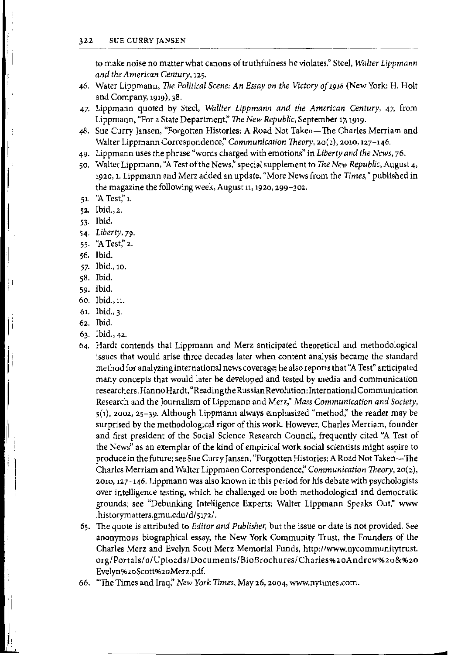**to make noise no matter what canons of truthfulness he violates.'' Steel,** *Walter Lippmann and the American Century,* 125.

----------·--------- -

- 46. Water Lippmann, *The Political Scene: An Essay on the Victory of* 1918 (New York: H. Holt and Company, 1919), 38.
- 47. Lippmann quoted by Steel, *Wallter Lippmann and the American Century,* 47, from Lippmann, "For a State Department:' *The New Republic,* September 17, 1919.
- 48. Sue Curry Jansen, "Forgotten Histories: A Road Not Taken-The Charles Merriam and Walter Lippmann Correspondence," *Communication Theory,* 20(2), 2010, 127-146.
- 49. Lippmann uses the phrase "words charged with emotions" in *Liberty and the News,* 76.
- 50. Walter Lippmann, ''A Test of the *News:'* special supplement to *The New Republic,* August 4, 1920, i. Lippmann and Merz added an update, "More News from the *Times,"* published in **the magazine the following week, August** 11, **1920, 299-302.**
- 51. **''A Test," i.**
- 52. Ibid., 2.
- 53. Ibid.
- 54. *Liberty,* 79.
- 55. **''.A Test;' 2.**
- 56. Ibid.
- 57. Ibid., 10.
- 58. Ibid.
- 59. Ibid.
- 60. Ibid., 1i.
- 61. Ibid., 3.
- 62. Ibid.

Ii

- 63. Ibid., 42.
- 64. Hardt contends that Lippmann and Merz anticipated theoretical and methodological **issues that would arise three decades later when content analysis became the standard**  method for analyzing international news coverage; he also reports that "A Test" anticipated many concepts that would later be developed and tested by media and communication **researchers. Hanno Hardt, "Reading the Russian Revolution: International Communication**  Research and the journalism of Lippmann and Merz," *Mass Communication and Society,*  5(1), 2002, 25-39. Although Lippmann always emphasized "method;' the reader may be surprised by the methodological rigor of this work. However, Charles Merriam, founder and first president of the Social Science Research Council, frequently cited "A Test of **the News" as an exemplar of the kind of empirical work social scientists might aspire to**  produce in the future; see Sue Curry Jansen, "Forgotten Histories: A Road Not Taken-The Charles Merriam and Walter Lippmann Correspondence:' *Communication Theory,* 20(2), 2010, 127-146. Lippmann was also known in this period for his debate with psychologists over intelligence testing, which he challenged on both methodological and democratic grounds; see "Debunking Intelligence Experts: Walter Lippmann Speaks Out," www .historymatters.gmu.edu/d/5172/.
- 65. The quote is attributed to *Editor and Publisher,* but the issue or date is not provided. See anonymous biographical essay, the New York Community Trust, the Founders of the Charles Merz and Evelyn Scott Merz Memorial Funds, http://www.nycommunitytrust. org/Portals/o/Uploads/Documents/Bi0Brochures/Charles%20Andrew%20&%20 Evelyn%20Scott%20Merz.pdf.
- 66. "The Times and Iraq;' *New York Times,* May 26, 2004, www.nytimes.com.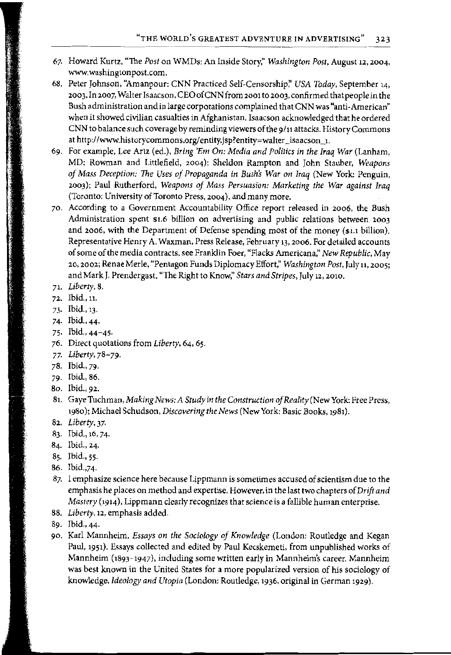- 67. Howard Kurtz, "The *Post* on WMDs: An Inside Story;' *Washington Post,* August 12, 2004, **www.washingtonpost.com.**
- 68. Peter Johnson, "Amanpour: CNN Practiced Self-Censorship," USA Today, September 14, 2003. In 2007, Walter Isaacson, CEO of CNN from 2001to2003, confirmed thatpeoplein the **Bush administration and in large corporations complained that CNN was "anti-American" when it showed civilian casualties in Afghanistan. Isaacson acknowledged that he ordered**  CNN to balance such coverage by reminding viewers of the 9/11 attacks. History Commons at http://www.historycommons.org/ entity.jsp?entity=walter\_isaacson\_1.
- 69. For example, Lee Artz (ed.), *Bring 'Em On: Media and Politics in the Iraq War* (Lanham, MD: Rowman and Littlefield, 2004); Sheldon Rampton and John Stauber, *Weapons of Mass Deception: The Uses of Propaganda in Bush's War on Iraq* (New York: Penguin, 2003); Paul Rutherford, *Weapons of Mass Persuasion: Marketing the War against Iraq*  **(Toronto: University of Toronto Press, 2004), and many more.**
- 70. **According to a Government Accountability Office report released in 2006, the Bush Administration spent \$1.6 billion on advertising and public relations between 2003**  and 2006, with the Department of Defense spending most of the money (\$1.1 billion). **Representative Henry A. Waxman, Press Release, February i3, 2006. For detailed accounts of some of the media contracts, see Franklin Foer, "Flacks Americana;'** *New Republic,* **May**  20, 2002; Renae Merle, "Pentagon Funds Diplomacy Effort," *Washington Post,* July 11, 2005; and Mark J. Prendergast, "The Right to Know," Stars and Stripes, July 12, 2010.
- 7i. *Liberty,* 8.
- 72. Ibid., 11.
- 73. Ibid., 13.
- 74. Ibid., 44.
- 75. Ibid., 44-45.
- 76. Direct quotations from *Liberty,* 64, 65.
- 77- *Liberty,* 78-79.
- 78. Ibid., 79.
- 79. Ibid., 86.
- 80. Ibid., 92.
- 81. Gaye Tuchman, *Making News: A Study in the Construction of Reality* (New York: Free Press, 1980); Michael Schudson, *Discovering the News* (New York: Basic Books, 1981).
- 82. *Liberty,* 37.
- 83. Ibid., 16, 74.
- 84. Ibid., 24.
- 85. Ibid., 55.
- 86. lbid.,74.
- **87. I emphasize science here because Lippmann is sometimes accused of scientism due to the**  emphasis he places on method and expertise. However, in the last two chapters of *Drift and Mastery* (1914), Lippmann clearly recognizes that science is a fallible human enterprise.
- 88. *Liberty,* 12, emphasis added.
- 89. Ibid., 44.
- 90. Karl Mannheim, *Essays on the Sociology of Knowledge* (London: Routledge and Kegan Paul, 1951). Essays collected and edited by Paul Kecskemeti, from unpublished works of **Mannheim (1893-1947), including some written early in Mannheim's career. Mannheim was best known in the United States for a more popularized version of his sociology of**  knowledge, *Ideology and Utopia* (London: Routledge, 1936, original in German 1929).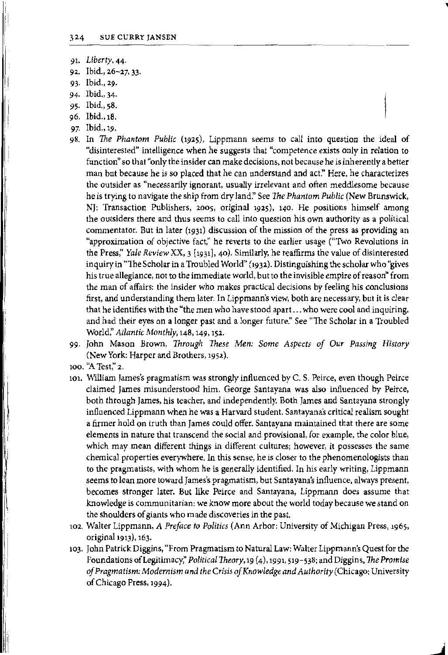- 91. *Liberty,* 44-
- 92. Ibid., 26-27, 33.
- 93. Ibid., 29.

i I

- 94. Ibid., 34.
- 95. Ibid., 58.
- 96. Ibid., 18.
- 97. Ibid., 19.
- 
- 98. In The *Phantom Public* (1925), Lippmann seems to call into question the ideal of **"disinterested" intelligence when he suggests that "competence exists only in relation to function" so that "only the insider can make decisions, not because he is inherently a better**  man but because he is so placed that he can understand and act.'' Here, he characterizes **the outsider as "necessarily ignorant, usually irrelevant and often meddlesome because**  he is trying to navigate the ship from dry land:' See *The Phantom Public* (New Brunswick, NJ: Transaction Publishers, 2005, original 1925), 140. He positions himself among **the outsiders there and thus seems to call into question his own authority as a political commentator. But in later (1931) discussion of the mission of the press as providing an**  "approximation of objective fact," he reverts to the earlier usage ("Two Revolutions in the Press;' *Yale Review* XX, 3 [1931], 40). Similarly, he reaffirms the value of disinterested inquiry in "The Scholar in a Troubled World" (1932). Distinguishing the scholar who "gives **his true allegiance, not to the immediate world, but to the invisible empire of reason" from**  the man of affairs: the insider who makes practical decisions by feeling his conclusions first, and understanding them later. In Lippmann's view, both are necessary, but it is clear that he identifies with the "the men who have stood apart ... who were cool and inquiring, and had their eyes on a longer past and a longer future:' See "The Scholar in a Troubled World;' *Atlantic Monthly,* 148, 149, 152.

,

- 99. John Mason Brown, *Through These Men: Some Aspects of Our Passing History*  (New York: Harper and Brothers, 1952).
- **100. ''A Test:' 2.**
- 10i. William James's pragmatism was strongly influenced by C. S. Peirce, even though Peirce claimed James misunderstood him. George Santayana was also influenced by Peirce, both through James, his teacher, and independently. Both James and Santayana strongly influenced Lippmann when he was a Harvard student. Santayana's critical realism sought a firmer hold on truth than James could offer. Santayana maintained that there are some **elements in nature that transcend the social and provisional, for example, the color blue, which may mean different things in different cultures; however, it possesses the same chemical properties everywhere. In this sense, he is closer to the phenomenologists than**  to the pragmatists, with whom he is generally identified. In his early writing, Lippmann **seems to lean more toward James's pragmatism, but Santayana's influence, always present,**  becomes stronger later. But like Peirce and Santayana, Lippmann does assume that **knowledge is communitarian: we know more about the world today because we stand on**  the shoulders of giants who made discoveries in the past.
- 102. Walter Lippmann, *A Preface to Politics* (Ann Arbor: University of Michigan Press, 1965, original 1913), 163.
- 103. John Patrick Diggins, "From Pragmatism to Natural Law: Walter Lippmann's Quest for the Foundations of Legitimacy;' *Political Theory,* 19 (4), 1991, 519-538; and Diggins, *The Promise of Pragmatism: Modernism and the Crisis of Knowledge and Authority* (Chicago: University of Chicago Press, 1994).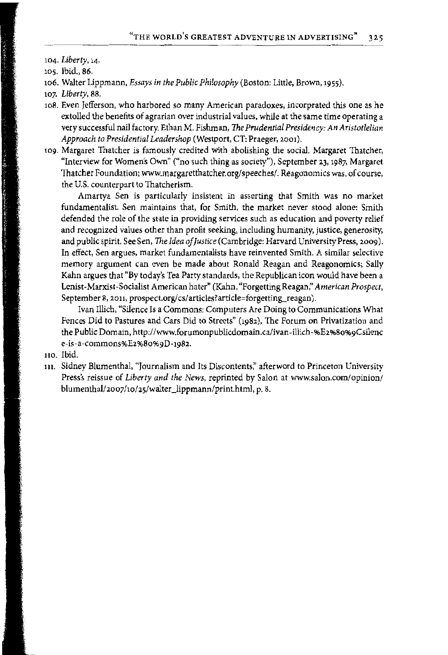104. *Liberty,* 14.

105. Ibid., *B6.* 

106. Walter Lippmann, *Essays* in *the Public Philosophy* (Boston: Little, Brown, 1955).

107. *Liberty, BB.* 

書きためい

いいとう こうかんかん いんかんかん あいいい かいこう

- **108. Even Jefferson, who harbored so many American paradoxes, incorprated this one as he**  extolled the benefits of agrarian over industrial values, while at the same time operating a very successful nail factory. Ethan M. Fishman, The *Prudential Presidency: An Aristotlelian Approach to Presidential Leadershop* (Westport, CT: Praeger, 2001).
- 109. Margaret Thatcher is famously credited with abolishing the social. Margaret Thatcher, "Interview for Women's Own" ("no such thing as society"), September 23, 19B7, Margaret Thatcher Foundation; www.margaretthatcher.org/speeches/. Reagonomics was, of course, the U.S. counterpart to Thatcherism.

**Amartya Sen is particularly insistent in asserting that Smith was no market**  fundamentalist. Sen maintains that, for Smith, the market never stood alone: Smith defended the role of the state in providing services such as education and poverty relief and recognized values other than profit seeking, including humanity, justice, generosity, and public spirit. See Sen, The *Idea of Justice* (Cambridge: Harvard University Press, 2009). **In effect, Sen argues, market fundamentalists have reinvented Smith. A similar selective**  memory argument can even be made about Ronald Reagan and Reagonomics; Sally Kahn argues that "By today's Tea Party standards, the Republican icon would have been a Lenist-Marxist-Socialist American hater" (Kahn, "Forgetting Reagan;' *American Prospect,*  September B, 2011, prospect.org/cs/articles?article=forgetting\_reagan).

**Ivan Illich, "Silence Is a Commons: Computers Are Doing to Communications What**  Fences Did to Pastures and Cars Did to Streets" (19B2), The Forum on Privatization and the Public Domain, http://www.forumonpublicdomain.ca/ivan-illich-%E2%80%9Csilenc **e-is-a-commons%E2%80%9D-1982.** 

#### no. Ibid.

111. Sidney Blumenthal, "Journalism and Its Discontents," afterword to Princeton University Press's reissue of *Liberty and the News,* reprinted by Salon at www.salon.com/opinion/ blumenthal/2007/10/25/walter\_lippmann/print.html, p. B.